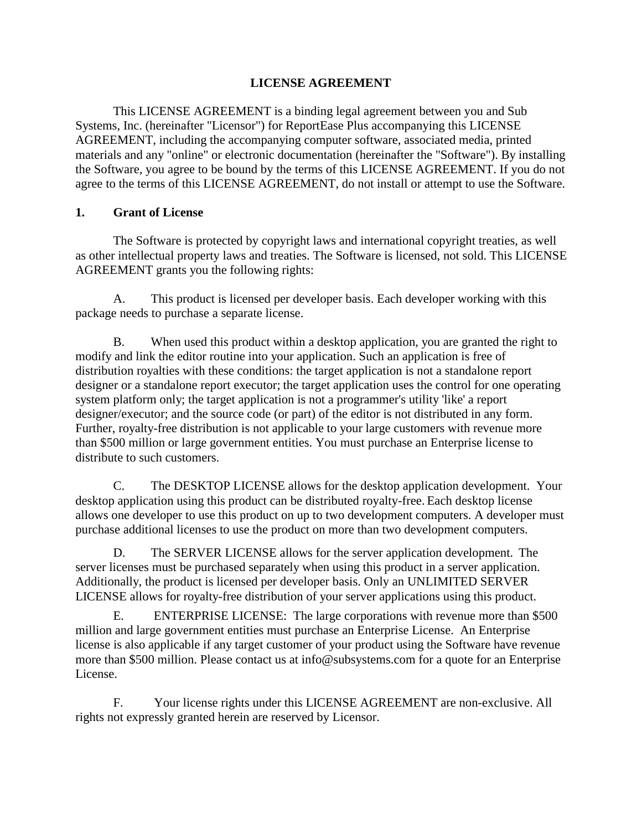### **LICENSE AGREEMENT**

 This LICENSE AGREEMENT is a binding legal agreement between you and Sub Systems, Inc. (hereinafter "Licensor") for ReportEase Plus accompanying this LICENSE AGREEMENT, including the accompanying computer software, associated media, printed materials and any "online" or electronic documentation (hereinafter the "Software"). By installing the Software, you agree to be bound by the terms of this LICENSE AGREEMENT. If you do not agree to the terms of this LICENSE AGREEMENT, do not install or attempt to use the Software.

### **1. Grant of License**

 The Software is protected by copyright laws and international copyright treaties, as well as other intellectual property laws and treaties. The Software is licensed, not sold. This LICENSE AGREEMENT grants you the following rights:

A. This product is licensed per developer basis. Each developer working with this package needs to purchase a separate license.

B. When used this product within a desktop application, you are granted the right to modify and link the editor routine into your application. Such an application is free of distribution royalties with these conditions: the target application is not a standalone report designer or a standalone report executor; the target application uses the control for one operating system platform only; the target application is not a programmer's utility 'like' a report designer/executor; and the source code (or part) of the editor is not distributed in any form. Further, royalty-free distribution is not applicable to your large customers with revenue more than \$500 million or large government entities. You must purchase an Enterprise license to distribute to such customers.

C. The DESKTOP LICENSE allows for the desktop application development. Your desktop application using this product can be distributed royalty-free. Each desktop license allows one developer to use this product on up to two development computers. A developer must purchase additional licenses to use the product on more than two development computers.

D. The SERVER LICENSE allows for the server application development. The server licenses must be purchased separately when using this product in a server application. Additionally, the product is licensed per developer basis. Only an UNLIMITED SERVER LICENSE allows for royalty-free distribution of your server applications using this product.

E. ENTERPRISE LICENSE: The large corporations with revenue more than \$500 million and large government entities must purchase an Enterprise License. An Enterprise license is also applicable if any target customer of your product using the Software have revenue more than \$500 million. Please contact us at info@subsystems.com for a quote for an Enterprise License.<br>F. Your license rights under this LICENSE AGREEMENT are non-exclusive. All

rights not expressly granted herein are reserved by Licensor.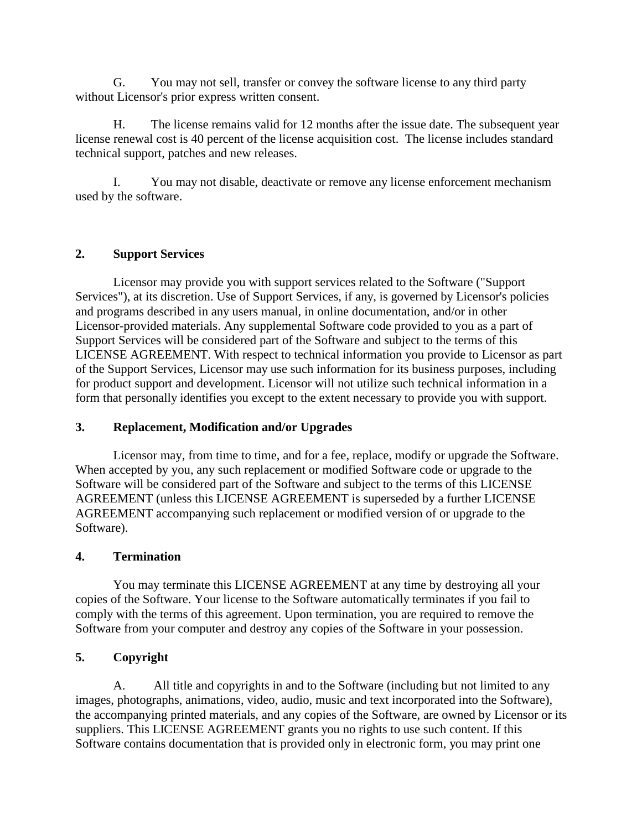G. You may not sell, transfer or convey the software license to any third party without Licensor's prior express written consent.

H. The license remains valid for 12 months after the issue date. The subsequent year license renewal cost is 40 percent of the license acquisition cost. The license includes standard technical support, patches and new releases.

I. You may not disable, deactivate or remove any license enforcement mechanism used by the software.

# **2. Support Services**

 Licensor may provide you with support services related to the Software ("Support Services"), at its discretion. Use of Support Services, if any, is governed by Licensor's policies and programs described in any users manual, in online documentation, and/or in other Licensor-provided materials. Any supplemental Software code provided to you as a part of Support Services will be considered part of the Software and subject to the terms of this LICENSE AGREEMENT. With respect to technical information you provide to Licensor as part of the Support Services, Licensor may use such information for its business purposes, including for product support and development. Licensor will not utilize such technical information in a form that personally identifies you except to the extent necessary to provide you with support.

## **3. Replacement, Modification and/or Upgrades**

 Licensor may, from time to time, and for a fee, replace, modify or upgrade the Software. When accepted by you, any such replacement or modified Software code or upgrade to the Software will be considered part of the Software and subject to the terms of this LICENSE AGREEMENT (unless this LICENSE AGREEMENT is superseded by a further LICENSE AGREEMENT accompanying such replacement or modified version of or upgrade to the Software).

## **4. Termination**

 You may terminate this LICENSE AGREEMENT at any time by destroying all your copies of the Software. Your license to the Software automatically terminates if you fail to comply with the terms of this agreement. Upon termination, you are required to remove the Software from your computer and destroy any copies of the Software in your possession.

# **5. Copyright**

A. All title and copyrights in and to the Software (including but not limited to any images, photographs, animations, video, audio, music and text incorporated into the Software), the accompanying printed materials, and any copies of the Software, are owned by Licensor or its suppliers. This LICENSE AGREEMENT grants you no rights to use such content. If this Software contains documentation that is provided only in electronic form, you may print one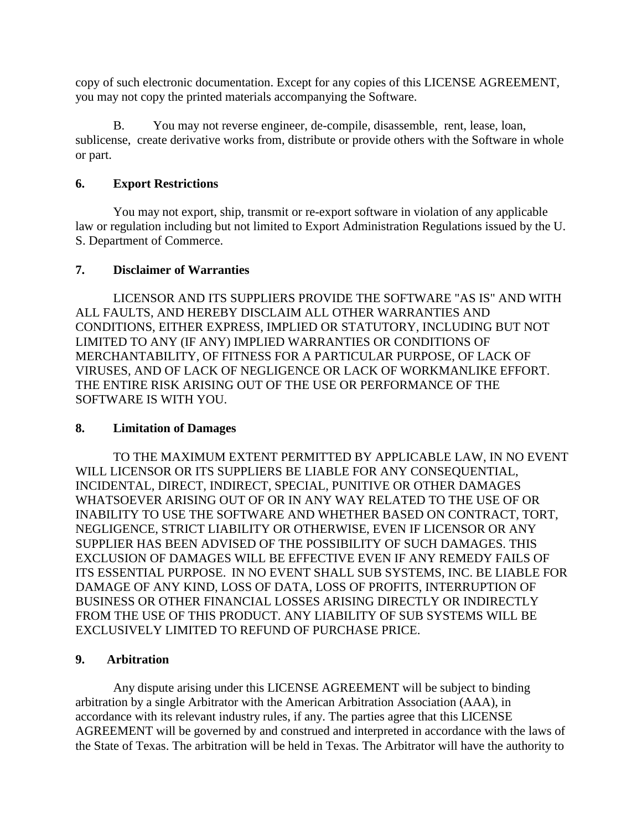copy of such electronic documentation. Except for any copies of this LICENSE AGREEMENT, you may not copy the printed materials accompanying the Software.

 B. You may not reverse engineer, de-compile, disassemble, rent, lease, loan, sublicense, create derivative works from, distribute or provide others with the Software in whole or part.

# **6. Export Restrictions**

You may not export, ship, transmit or re-export software in violation of any applicable law or regulation including but not limited to Export Administration Regulations issued by the U. S. Department of Commerce.

# **7. Disclaimer of Warranties**

 LICENSOR AND ITS SUPPLIERS PROVIDE THE SOFTWARE "AS IS" AND WITH ALL FAULTS, AND HEREBY DISCLAIM ALL OTHER WARRANTIES AND CONDITIONS, EITHER EXPRESS, IMPLIED OR STATUTORY, INCLUDING BUT NOT LIMITED TO ANY (IF ANY) IMPLIED WARRANTIES OR CONDITIONS OF MERCHANTABILITY, OF FITNESS FOR A PARTICULAR PURPOSE, OF LACK OF VIRUSES, AND OF LACK OF NEGLIGENCE OR LACK OF WORKMANLIKE EFFORT. THE ENTIRE RISK ARISING OUT OF THE USE OR PERFORMANCE OF THE SOFTWARE IS WITH YOU.

## **8. Limitation of Damages**

 TO THE MAXIMUM EXTENT PERMITTED BY APPLICABLE LAW, IN NO EVENT WILL LICENSOR OR ITS SUPPLIERS BE LIABLE FOR ANY CONSEQUENTIAL, INCIDENTAL, DIRECT, INDIRECT, SPECIAL, PUNITIVE OR OTHER DAMAGES WHATSOEVER ARISING OUT OF OR IN ANY WAY RELATED TO THE USE OF OR INABILITY TO USE THE SOFTWARE AND WHETHER BASED ON CONTRACT, TORT, NEGLIGENCE, STRICT LIABILITY OR OTHERWISE, EVEN IF LICENSOR OR ANY SUPPLIER HAS BEEN ADVISED OF THE POSSIBILITY OF SUCH DAMAGES. THIS EXCLUSION OF DAMAGES WILL BE EFFECTIVE EVEN IF ANY REMEDY FAILS OF ITS ESSENTIAL PURPOSE. IN NO EVENT SHALL SUB SYSTEMS, INC. BE LIABLE FOR DAMAGE OF ANY KIND, LOSS OF DATA, LOSS OF PROFITS, INTERRUPTION OF BUSINESS OR OTHER FINANCIAL LOSSES ARISING DIRECTLY OR INDIRECTLY FROM THE USE OF THIS PRODUCT. ANY LIABILITY OF SUB SYSTEMS WILL BE EXCLUSIVELY LIMITED TO REFUND OF PURCHASE PRICE.

# **9. Arbitration**

Any dispute arising under this LICENSE AGREEMENT will be subject to binding arbitration by a single Arbitrator with the American Arbitration Association (AAA), in accordance with its relevant industry rules, if any. The parties agree that this LICENSE AGREEMENT will be governed by and construed and interpreted in accordance with the laws of the State of Texas. The arbitration will be held in Texas. The Arbitrator will have the authority to